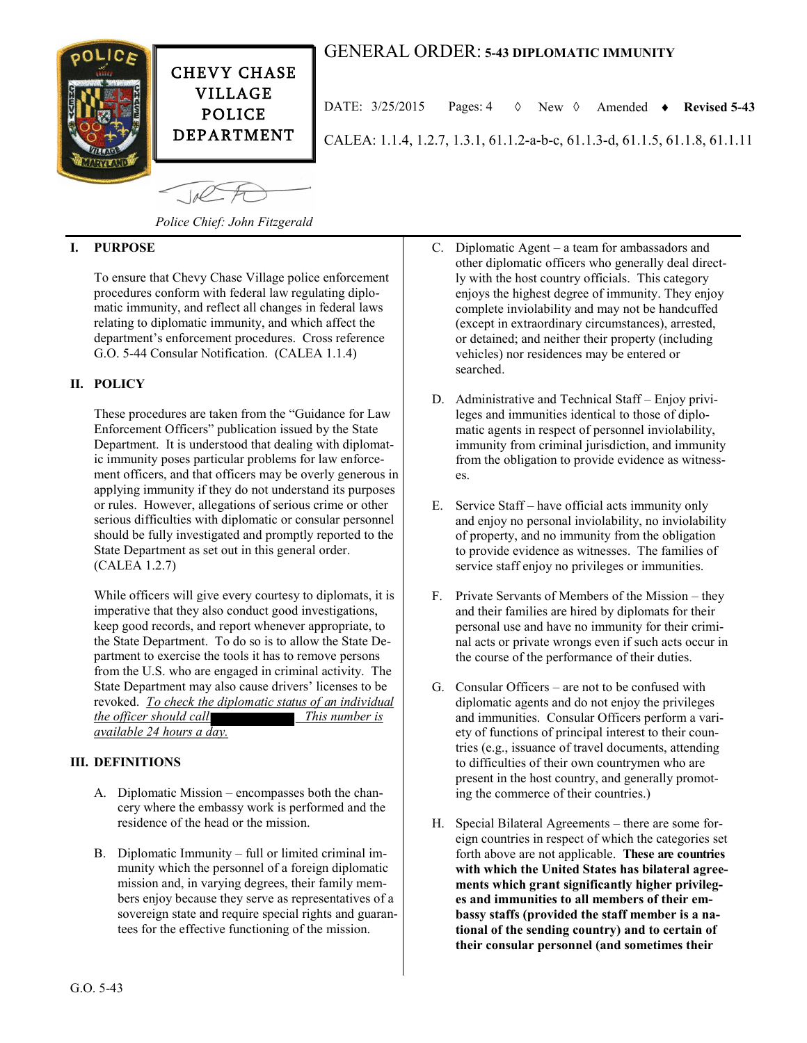



CALEA: 1.1.4, 1.2.7, 1.3.1, 61.1.2-a-b-c, 61.1.3-d, 61.1.5, 61.1.8, 61.1.11 DATE:  $3/25/2015$  Pages:  $4 \quad \lozenge$  New  $\lozenge$  Amended  $\triangleright$  Revised 5-43

CHEVY CHASE VILLAGE POLICE DEPARTMENT

*Police Chief: John Fitzgerald*

# **I. PURPOSE**

To ensure that Chevy Chase Village police enforcement procedures conform with federal law regulating diplomatic immunity, and reflect all changes in federal laws relating to diplomatic immunity, and which affect the department's enforcement procedures. Cross reference G.O. 5-44 Consular Notification. (CALEA 1.1.4)

## **II. POLICY**

These procedures are taken from the "Guidance for Law Enforcement Officers" publication issued by the State Department. It is understood that dealing with diplomatic immunity poses particular problems for law enforcement officers, and that officers may be overly generous in applying immunity if they do not understand its purposes or rules. However, allegations of serious crime or other serious difficulties with diplomatic or consular personnel should be fully investigated and promptly reported to the State Department as set out in this general order. (CALEA 1.2.7)

While officers will give every courtesy to diplomats, it is imperative that they also conduct good investigations, keep good records, and report whenever appropriate, to the State Department. To do so is to allow the State Department to exercise the tools it has to remove persons from the U.S. who are engaged in criminal activity. The State Department may also cause drivers' licenses to be revoked. *To check the diplomatic status of an individual the officer should call This number is available 24 hours a day.*

#### **III. DEFINITIONS**

- A. Diplomatic Mission encompasses both the chancery where the embassy work is performed and the residence of the head or the mission.
- B. Diplomatic Immunity full or limited criminal immunity which the personnel of a foreign diplomatic mission and, in varying degrees, their family members enjoy because they serve as representatives of a sovereign state and require special rights and guarantees for the effective functioning of the mission.
- C. Diplomatic Agent a team for ambassadors and other diplomatic officers who generally deal directly with the host country officials. This category enjoys the highest degree of immunity. They enjoy complete inviolability and may not be handcuffed (except in extraordinary circumstances), arrested, or detained; and neither their property (including vehicles) nor residences may be entered or searched.
- D. Administrative and Technical Staff Enjoy privileges and immunities identical to those of diplomatic agents in respect of personnel inviolability, immunity from criminal jurisdiction, and immunity from the obligation to provide evidence as witnesses.
- E. Service Staff have official acts immunity only and enjoy no personal inviolability, no inviolability of property, and no immunity from the obligation to provide evidence as witnesses. The families of service staff enjoy no privileges or immunities.
- F. Private Servants of Members of the Mission they and their families are hired by diplomats for their personal use and have no immunity for their criminal acts or private wrongs even if such acts occur in the course of the performance of their duties.
- G. Consular Officers are not to be confused with diplomatic agents and do not enjoy the privileges and immunities. Consular Officers perform a variety of functions of principal interest to their countries (e.g., issuance of travel documents, attending to difficulties of their own countrymen who are present in the host country, and generally promoting the commerce of their countries.)
- H. Special Bilateral Agreements there are some foreign countries in respect of which the categories set forth above are not applicable. **These are countries with which the United States has bilateral agreements which grant significantly higher privileges and immunities to all members of their embassy staffs (provided the staff member is a national of the sending country) and to certain of their consular personnel (and sometimes their**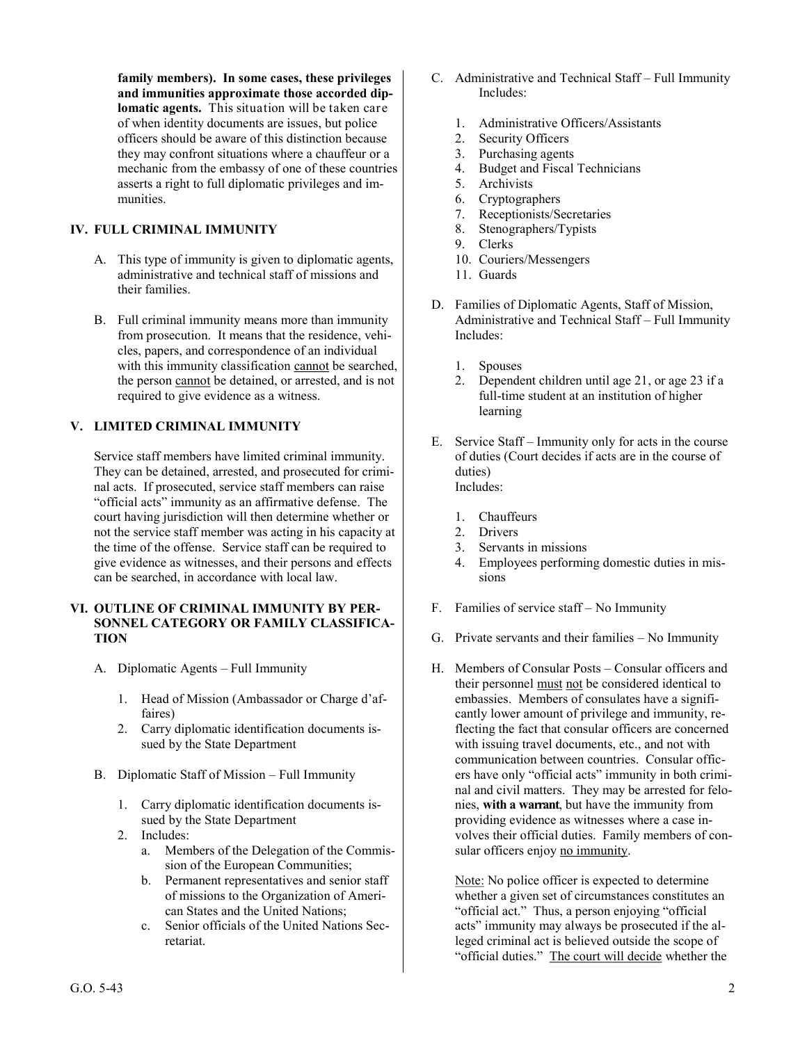**family members). In some cases, these privileges and immunities approximate those accorded diplomatic agents.** This situation will be taken care of when identity documents are issues, but police officers should be aware of this distinction because they may confront situations where a chauffeur or a mechanic from the embassy of one of these countries asserts a right to full diplomatic privileges and immunities.

# **IV. FULL CRIMINAL IMMUNITY**

- A. This type of immunity is given to diplomatic agents, administrative and technical staff of missions and their families.
- B. Full criminal immunity means more than immunity from prosecution. It means that the residence, vehicles, papers, and correspondence of an individual with this immunity classification cannot be searched, the person cannot be detained, or arrested, and is not required to give evidence as a witness.

## **V. LIMITED CRIMINAL IMMUNITY**

Service staff members have limited criminal immunity. They can be detained, arrested, and prosecuted for criminal acts. If prosecuted, service staff members can raise "official acts" immunity as an affirmative defense. The court having jurisdiction will then determine whether or not the service staff member was acting in his capacity at the time of the offense. Service staff can be required to give evidence as witnesses, and their persons and effects can be searched, in accordance with local law.

## **VI. OUTLINE OF CRIMINAL IMMUNITY BY PER-SONNEL CATEGORY OR FAMILY CLASSIFICA-TION**

- A. Diplomatic Agents Full Immunity
	- 1. Head of Mission (Ambassador or Charge d'affaires)
	- 2. Carry diplomatic identification documents issued by the State Department
- B. Diplomatic Staff of Mission Full Immunity
	- 1. Carry diplomatic identification documents issued by the State Department
	- 2. Includes:
		- a. Members of the Delegation of the Commission of the European Communities;
		- b. Permanent representatives and senior staff of missions to the Organization of American States and the United Nations;
		- c. Senior officials of the United Nations Secretariat.
- C. Administrative and Technical Staff Full Immunity Includes:
	- 1. Administrative Officers/Assistants
	- 2. Security Officers
	- 3. Purchasing agents
	- 4. Budget and Fiscal Technicians
	- 5. Archivists
	- 6. Cryptographers
	- 7. Receptionists/Secretaries 8. Stenographers/Typists
	- 9. Clerks
	- 10. Couriers/Messengers
	- 11. Guards
- D. Families of Diplomatic Agents, Staff of Mission, Administrative and Technical Staff – Full Immunity Includes:
	- 1. Spouses
	- 2. Dependent children until age 21, or age 23 if a full-time student at an institution of higher learning
- E. Service Staff Immunity only for acts in the course of duties (Court decides if acts are in the course of duties) Includes:
	- 1. Chauffeurs
	- 2. Drivers
	- 3. Servants in missions
	- 4. Employees performing domestic duties in missions
- F. Families of service staff No Immunity
- G. Private servants and their families No Immunity
- H. Members of Consular Posts Consular officers and their personnel must not be considered identical to embassies. Members of consulates have a significantly lower amount of privilege and immunity, reflecting the fact that consular officers are concerned with issuing travel documents, etc., and not with communication between countries. Consular officers have only "official acts" immunity in both criminal and civil matters. They may be arrested for felonies, **with a warrant**, but have the immunity from providing evidence as witnesses where a case involves their official duties. Family members of consular officers enjoy no immunity.

Note: No police officer is expected to determine whether a given set of circumstances constitutes an "official act." Thus, a person enjoying "official acts" immunity may always be prosecuted if the alleged criminal act is believed outside the scope of "official duties." The court will decide whether the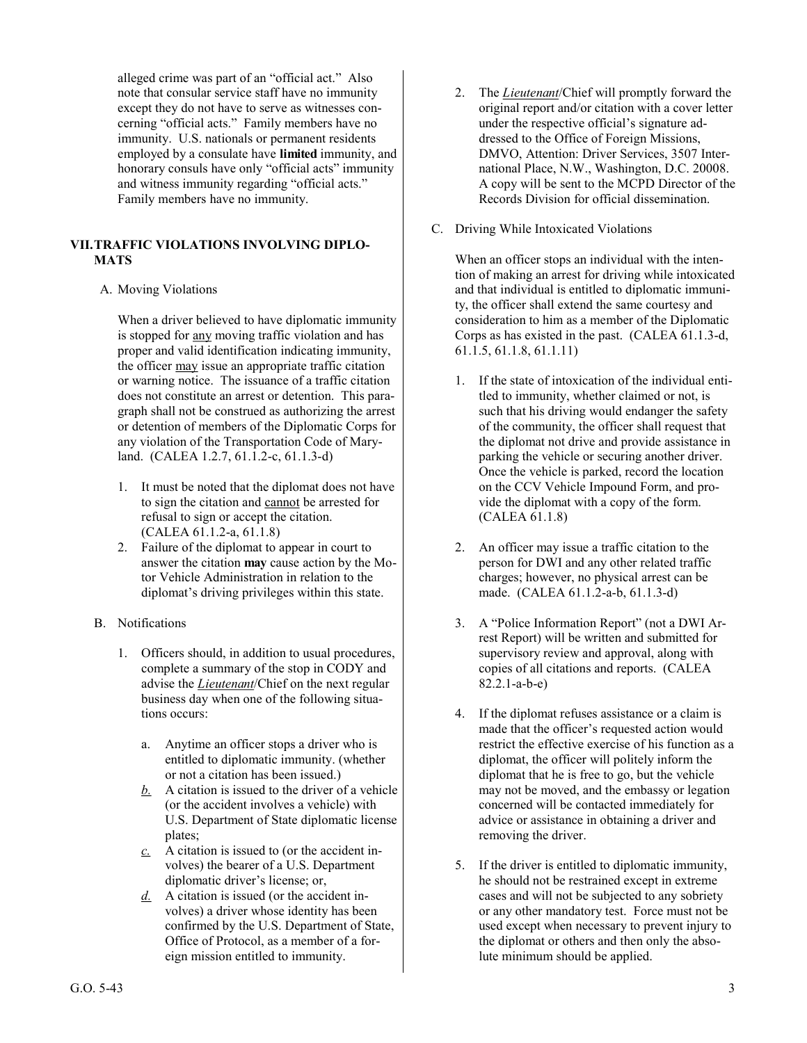alleged crime was part of an "official act." Also note that consular service staff have no immunity except they do not have to serve as witnesses concerning "official acts." Family members have no immunity. U.S. nationals or permanent residents employed by a consulate have **limited** immunity, and honorary consuls have only "official acts" immunity and witness immunity regarding "official acts." Family members have no immunity.

# **VII.TRAFFIC VIOLATIONS INVOLVING DIPLO-MATS**

## A. Moving Violations

When a driver believed to have diplomatic immunity is stopped for any moving traffic violation and has proper and valid identification indicating immunity, the officer may issue an appropriate traffic citation or warning notice. The issuance of a traffic citation does not constitute an arrest or detention. This paragraph shall not be construed as authorizing the arrest or detention of members of the Diplomatic Corps for any violation of the Transportation Code of Maryland. (CALEA 1.2.7, 61.1.2-c, 61.1.3-d)

- 1. It must be noted that the diplomat does not have to sign the citation and cannot be arrested for refusal to sign or accept the citation. (CALEA 61.1.2-a, 61.1.8)
- 2. Failure of the diplomat to appear in court to answer the citation **may** cause action by the Motor Vehicle Administration in relation to the diplomat's driving privileges within this state.
- B. Notifications
	- 1. Officers should, in addition to usual procedures, complete a summary of the stop in CODY and advise the *Lieutenant*/Chief on the next regular business day when one of the following situations occurs:
		- a. Anytime an officer stops a driver who is entitled to diplomatic immunity. (whether or not a citation has been issued.)
		- *b.* A citation is issued to the driver of a vehicle (or the accident involves a vehicle) with U.S. Department of State diplomatic license plates;
		- *c.* A citation is issued to (or the accident involves) the bearer of a U.S. Department diplomatic driver's license; or,
		- *d.* A citation is issued (or the accident involves) a driver whose identity has been confirmed by the U.S. Department of State, Office of Protocol, as a member of a foreign mission entitled to immunity.
- 2. The *Lieutenant*/Chief will promptly forward the original report and/or citation with a cover letter under the respective official's signature addressed to the Office of Foreign Missions, DMVO, Attention: Driver Services, 3507 International Place, N.W., Washington, D.C. 20008. A copy will be sent to the MCPD Director of the Records Division for official dissemination.
- C. Driving While Intoxicated Violations

When an officer stops an individual with the intention of making an arrest for driving while intoxicated and that individual is entitled to diplomatic immunity, the officer shall extend the same courtesy and consideration to him as a member of the Diplomatic Corps as has existed in the past. (CALEA 61.1.3-d, 61.1.5, 61.1.8, 61.1.11)

- 1. If the state of intoxication of the individual entitled to immunity, whether claimed or not, is such that his driving would endanger the safety of the community, the officer shall request that the diplomat not drive and provide assistance in parking the vehicle or securing another driver. Once the vehicle is parked, record the location on the CCV Vehicle Impound Form, and provide the diplomat with a copy of the form. (CALEA 61.1.8)
- 2. An officer may issue a traffic citation to the person for DWI and any other related traffic charges; however, no physical arrest can be made. (CALEA 61.1.2-a-b, 61.1.3-d)
- 3. A "Police Information Report" (not a DWI Arrest Report) will be written and submitted for supervisory review and approval, along with copies of all citations and reports. (CALEA 82.2.1-a-b-e)
- 4. If the diplomat refuses assistance or a claim is made that the officer's requested action would restrict the effective exercise of his function as a diplomat, the officer will politely inform the diplomat that he is free to go, but the vehicle may not be moved, and the embassy or legation concerned will be contacted immediately for advice or assistance in obtaining a driver and removing the driver.
- 5. If the driver is entitled to diplomatic immunity, he should not be restrained except in extreme cases and will not be subjected to any sobriety or any other mandatory test. Force must not be used except when necessary to prevent injury to the diplomat or others and then only the absolute minimum should be applied.